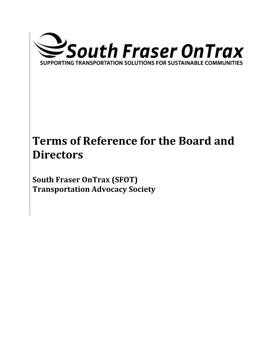

# **Terms of Reference for the Board and Directors**

**South Fraser OnTrax (SFOT) Transportation Advocacy Society**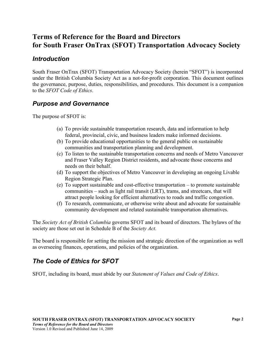# **Terms of Reference for the Board and Directors for South Fraser OnTrax (SFOT) Transportation Advocacy Society**

## *Introduction*

South Fraser OnTrax (SFOT) Transportation Advocacy Society (herein "SFOT") is incorporated under the British Columbia Society Act as a not-for-profit corporation. This document outlines the governance, purpose, duties, responsibilities, and procedures. This document is a companion to the *SFOT Code of Ethics*.

## *Purpose and Governance*

The purpose of SFOT is:

- (a) To provide sustainable transportation research, data and information to help federal, provincial, civic, and business leaders make informed decisions.
- (b) To provide educational opportunities to the general public on sustainable communities and transportation planning and development.
- (c) To listen to the sustainable transportation concerns and needs of Metro Vancouver and Fraser Valley Region District residents, and advocate those concerns and needs on their behalf.
- (d) To support the objectives of Metro Vancouver in developing an ongoing Livable Region Strategic Plan.
- (e) To support sustainable and cost-effective transportation to promote sustainable communities – such as light rail transit (LRT), trams, and streetcars, that will attract people looking for efficient alternatives to roads and traffic congestion.
- (f) To research, communicate, or otherwise write about and advocate for sustainable community development and related sustainable transportation alternatives.

The *Society Act of British Columbia* governs SFOT and its board of directors. The bylaws of the society are those set out in Schedule B of the *Society Act*.

The board is responsible for setting the mission and strategic direction of the organization as well as overseeing finances, operations, and policies of the organization.

## *The Code of Ethics for SFOT*

SFOT, including its board, must abide by our *Statement of Values and Code of Ethics*.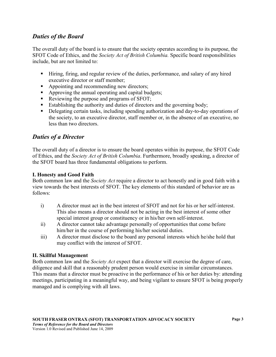### *Duties of the Board*

The overall duty of the board is to ensure that the society operates according to its purpose, the SFOT Code of Ethics, and the *Society Act of British Columbia.* Specific board responsibilities include, but are not limited to:

- Hiring, firing, and regular review of the duties, performance, and salary of any hired executive director or staff member;
- Appointing and recommending new directors;
- Approving the annual operating and capital budgets;
- Reviewing the purpose and programs of SFOT;
- Establishing the authority and duties of directors and the governing body;
- Delegating certain tasks, including spending authorization and day-to-day operations of the society, to an executive director, staff member or, in the absence of an executive, no less than two directors.

#### *Duties of a Director*

The overall duty of a director is to ensure the board operates within its purpose, the SFOT Code of Ethics, and the *Society Act of British Columbia*. Furthermore, broadly speaking, a director of the SFOT board has three fundamental obligations to perform.

#### **I. Honesty and Good Faith**

Both common law and the *Society Act* require a director to act honestly and in good faith with a view towards the best interests of SFOT. The key elements of this standard of behavior are as follows:

- i) A director must act in the best interest of SFOT and not for his or her self-interest. This also means a director should not be acting in the best interest of some other special interest group or constituency or in his/her own self-interest.
- ii) A director cannot take advantage personally of opportunities that come before him/her in the course of performing his/her societal duties.
- iii) A director must disclose to the board any personal interests which he/she hold that may conflict with the interest of SFOT.

#### **II. Skillful Management**

Both common law and the *Society Act* expect that a director will exercise the degree of care, diligence and skill that a reasonably prudent person would exercise in similar circumstances. This means that a director must be proactive in the performance of his or her duties by: attending meetings, participating in a meaningful way, and being vigilant to ensure SFOT is being properly managed and is complying with all laws.